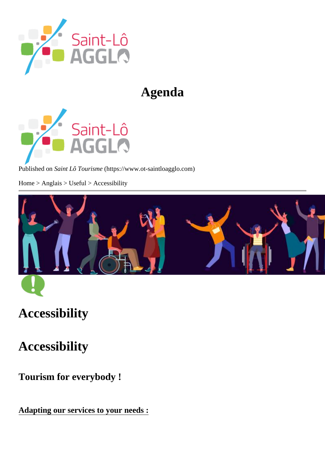# Agenda

Published or Saint Lô Tourism (https://www.ot-saintloagglo.com

Home > Anglais > Useful > Accessibility

# Accessibility

Accessibility

Tourism for everybody !

Adapting our services to your needs :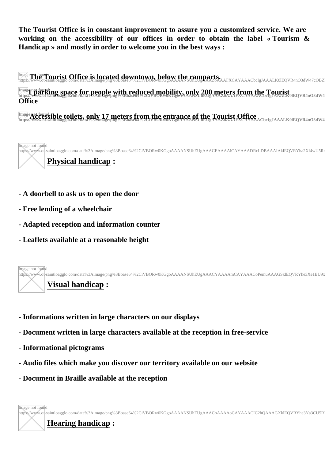**The Tourist Office is in constant improvement to assure you a customized service. We are working on the accessibility of our offices in order to obtain the label « Tourism & Handicap » and mostly in order to welcome you in the best ways :** 

**The Time Tourist Office is located downtown, below the ramparts.** The scarage details and the manufacture of the state of the state of the state of the state of the state of the state of the state of the state of the stat <sup>Image</sup> The "Tourist Office is located downtown, below the ramparts.<br>https://www.ot-sainloagglo.com/data%3Aimage/phg%3Bbase64%2CtVBORw0KGgoAAAANSUhEUgAAAZ6AAAFXCAYAAACbcIgJAAALK0IEQVR4nO3dW47cOBZI

Image not found **in France for people with reduced mobility, only 200 meters from the Tourist Image not arriving space for people with reduced mobility, only 200 meters from the Tourist<br>https://ww.ot-sameoagglo.com/data%3Amage/png%3Bbase64%2CiVBUkw0KGgoAAANSUfiEUgAAAZ6AAAFXCAYAAACbclgJAAALK0IEQVR4nO3dW4 Office**

Image **Act found ible toilets, only 17 meters from the entrance of the Tourist Office Card Action Contract of the meters from the entrance of the Tourist Office <b>Card Action** Image **Act conducts: Only 17 meters from the entrance of the Tourist Office**<br>https://www.0t-saintloagglo.com/data%3Amage/png%3Bbase64%2CiVBORw0KGgoAAAANSUnEUgAAA20AAAFXCAYAAACbcIgJAAALK0lEQVR4nO3dW4

Image not found https://www.ot|-saintloagglo.com/data%3Aimage/png%3Bbase64%2CiVBORw0KGgoAAAANSUhEUgAAACEAAAAiCAYAAADRcLDBAAAIAklEQVRYha2Xf4wU5Rr **Physical handicap :**

- **A doorbell to ask us to open the door**
- **Free lending of a wheelchair**
- **Adapted reception and information counter**
- **Leaflets available at a reasonable height**



- **Informations written in large characters on our displays**
- **Document written in large characters available at the reception in free-service**
- **Informational pictograms**
- **Audio files which make you discover our territory available on our website**
- **Document in Braille available at the reception**

Image not found https://www.ot|-saintloagglo.com/data%3Aimage/png%3Bbase64%2CiVBORw0KGgoAAAANSUhEUgAAACoAAAAoCAYAAACIC2hQAAAGXklEQVRYhe3Ya3CU5R.

**Hearing handicap :**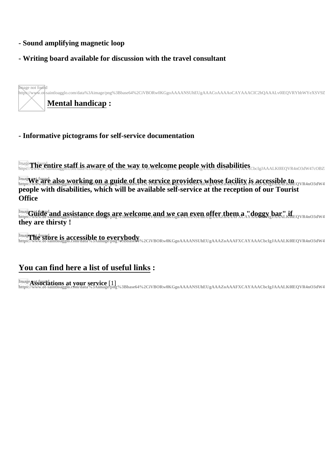- Sound amplifying magnetic loop
- Writing board available for discussion with the travel consultant

Image not found

https://www.ot-saintloagglo.com/data%3Aimage/png%3Bbase64%2CiVBORw0KGgoAAAANSUhEUgAAACoAAAAoCAYAAACIC2hQAAALv0lEQVRYhbWYeXSV9

### Mental handicap:

#### - Informative pictograms for self-service documentation

Imagerni found tire staff is aware of the way to welcome people with disabilities

Imagewet found also working on a guide of the service providers whose facility is accessible to people with disabilities, which will be available self-service at the reception of our Tourist **Office** 

Imaggiorificial and assistance dogs are welcome and we can even offer them a "doggy bar" if they are thirsty!

```
Imagrintfound is accessible to everybody<br>https://www.of-saintioagglo.com/data%3Almage/png%3Bbase64%2CiVBORw0KGgoAAAANSUhEUgAAAZoAAAFXCAYAAACbclgJAAALK0IEQVR4nO3dW47cOB
```
## You can find here a list of useful links:

Image*netscociations at your service***11**<br>https://www.ot-saintloagglo.com/data%3Aimage/pr

%3Bbase64%2CiVBORw0KGgoAAAANSUhEUgAAAZoAAAFXCAYAAACbclgJAAALK0IEQVR4nO3dW47cOB